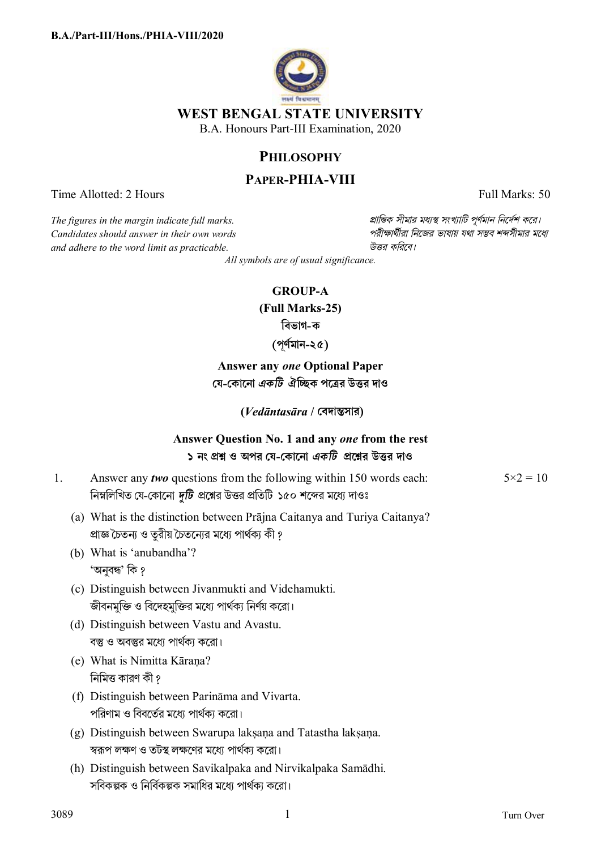

B.A. Honours Part-III Examination, 2020

# **PHILOSOPHY**

# **PAPER-PHIA-VIII**

Time Allotted: 2 Hours Full Marks: 50

 $C$ *andidates should answer in their own words and adhere to the word limit as practicable. উtর কিরেব।*

*The figures in the margin indicate full marks. pািnক সীমার মধ°s সংখ°ািট পূণমান িনেদশ কের।*

*All symbols are of usual significance.*

## **GROUP-A**

**(Full Marks-25)** 

**িবভাগ-ক**

**(পূণর্মান-২৫)** 

**Answer any** *one* **Optional Paper েয-েকােনা** *একিট* **ঐিcক পেtর উtর দাও**

**(***Vedāntasāra* **/ েবদাnসার)**

# **Answer Question No. 1 and any** *one* **from the rest ১ নং pű ও অপর েয-েকােনা** *একিট* **pেűর উtর দাও**

- 1. Answer any *two* questions from the following within 150 words each: নিম্নলিখিত যে-কোনো *দটি প্র*শ্নের উত্তর প্রতিটি ১৫০ শব্দের মধ্যে দাওঃ
	- (a) What is the distinction between Prājna Caitanya and Turiya Caitanya? প্রাজ্ঞ চৈতন্য ও তুরীয় চৈতন্যের মধ্যে পার্থক্য কী ?
	- (b) What is 'anubandha'? 'অনুবন্ধ' কি ?
	- (c) Distinguish between Jivanmukti and Videhamukti. জীবনমুক্তি ও বিদেহমুক্তির মধ্যে পার্থক্য নির্ণয় করো।
	- (d) Distinguish between Vastu and Avastu. বস্তু ও অবস্তুর মধ্যে পার্থকা করো।
	- (e) What is Nimitta Kāraṇa? নিমিত্ত কারণ কী ?
	- (f) Distinguish between Parināma and Vivarta. পরিণাম ও বিবর্তের মধ্যে পার্থক্য করো।
	- (g) Distinguish between Swarupa lakṣaṇa and Tatastha lakṣaṇa. স্বরূপ লক্ষণ ও তটস্থ লক্ষণের মধ্যে পার্থক্য করো।
	- (h) Distinguish between Savikalpaka and Nirvikalpaka Samādhi. সবিকল্পক ও নির্বিকল্পক সমাধির মধ্যে পার্থকা করো।

 $5 \times 2 = 10$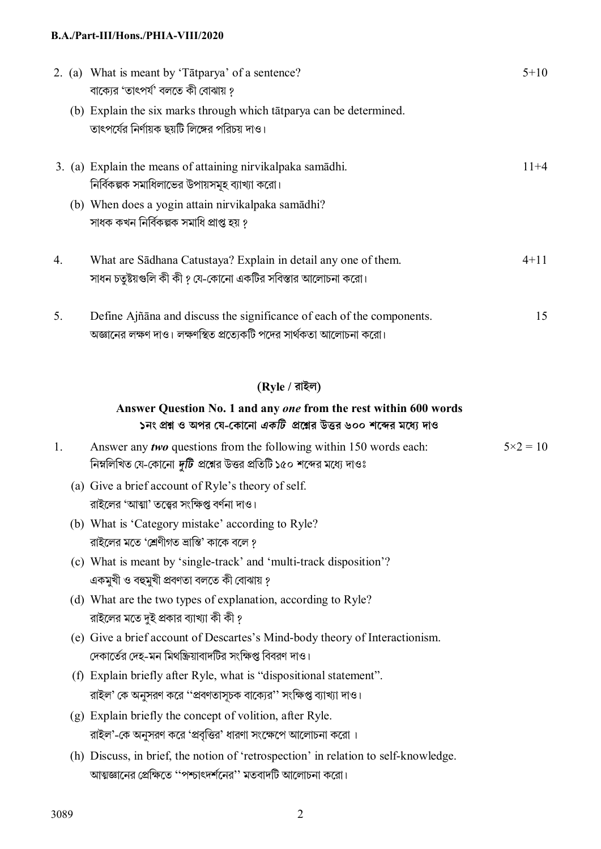|    | 2. (a) What is meant by 'Tātparya' of a sentence?<br>বাক্যের 'তাৎপর্য' বলতে কী বোঝায় ?                                                             | $5 + 10$          |
|----|-----------------------------------------------------------------------------------------------------------------------------------------------------|-------------------|
|    | (b) Explain the six marks through which tātparya can be determined.<br>তাৎপর্যের নির্ণায়ক ছয়টি লিঙ্গের পরিচয় দাও।                                |                   |
|    | 3. (a) Explain the means of attaining nirvikalpaka samadhi.<br>নির্বিকল্পক সমাধিলাভের উপায়সমূহ ব্যাখ্যা করো।                                       | $11+4$            |
|    | (b) When does a yogin attain nirvikalpaka samādhi?<br>সাধক কখন নিৰ্বিকল্পক সমাধি প্ৰাপ্ত হয় ?                                                      |                   |
| 4. | What are Sādhana Catustaya? Explain in detail any one of them.<br>সাধন চতুষ্টয়গুলি কী কী ? যে-কোনো একটির সবিস্তার আলোচনা করো।                      | $4 + 11$          |
| 5. | Define Ajñāna and discuss the significance of each of the components.<br>অজ্ঞানের লক্ষণ দাও। লক্ষণস্থিত প্রত্যেকটি পদের সার্থকতা আলোচনা করো।        | 15                |
|    | $(Ryle / 3$ ইল)                                                                                                                                     |                   |
|    | Answer Question No. 1 and any one from the rest within 600 words<br>১নং প্রশ্ন ও অপর যে-কোনো <i>একটি  </i> প্রশ্নের উত্তর ৬০০ শব্দের মধ্যে দাও      |                   |
| 1. | Answer any two questions from the following within 150 words each:<br>নিম্নলিখিত যে-কোনো দুটি প্রশ্নের উত্তর প্রতিটি ১৫০ শব্দের মধ্যে দাওঃ          | $5 \times 2 = 10$ |
|    | (a) Give a brief account of Ryle's theory of self.<br>রাইলের 'আত্মা' তত্ত্বের সংক্ষিপ্ত বর্ণনা দাও।                                                 |                   |
|    | (b) What is 'Category mistake' according to Ryle?<br>রাইলের মতে 'শ্রেণীগত ভ্রান্তি' কাকে বলে ?                                                      |                   |
|    | (c) What is meant by 'single-track' and 'multi-track disposition'?<br>একমুখী ও বহুমুখী প্ৰবণতা বলতে কী বোঝায় ?                                     |                   |
|    | (d) What are the two types of explanation, according to Ryle?<br>রাইলের মতে দুই প্রকার ব্যাখ্যা কী কী ?                                             |                   |
|    | (e) Give a brief account of Descartes's Mind-body theory of Interactionism.<br>দেকার্তের দেহ-মন মিথক্রিয়াবাদটির সংক্ষিপ্ত বিবরণ দাও।               |                   |
|    | (f) Explain briefly after Ryle, what is "dispositional statement".<br>রাইল' কে অনুসরণ করে ''প্রবণতাসূচক বাক্যের'' সংক্ষিপ্ত ব্যাখ্যা দাও।           |                   |
|    | (g) Explain briefly the concept of volition, after Ryle.<br>রাইল'-কে অনুসরণ করে 'প্রবৃত্তির' ধারণা সংক্ষেপে আলোচনা করো।                             |                   |
|    | (h) Discuss, in brief, the notion of 'retrospection' in relation to self-knowledge.<br>আত্মজ্ঞানের প্রেক্ষিতে ''পশ্চাৎদর্শনের'' মতবাদটি আলোচনা করো। |                   |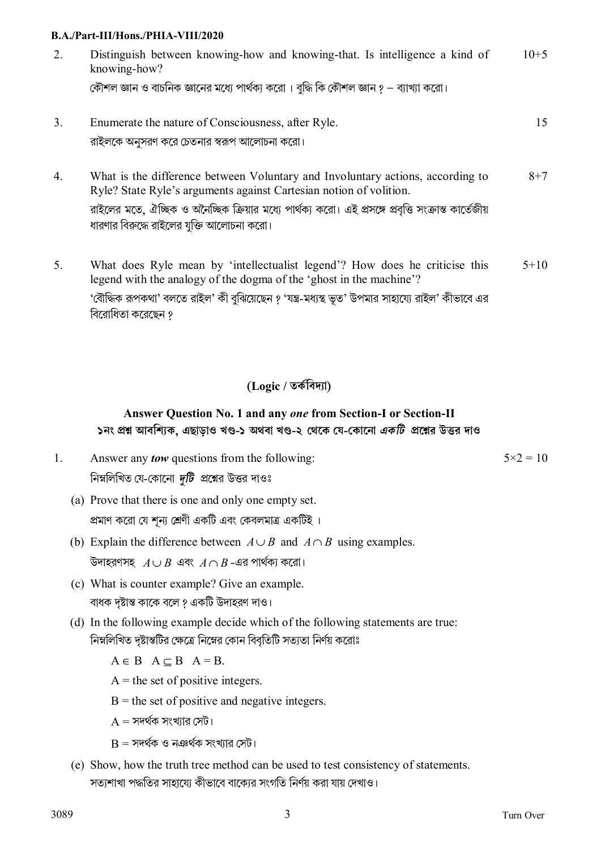| 2. | Distinguish between knowing-how and knowing-that. Is intelligence a kind of<br>knowing-how? |    |
|----|---------------------------------------------------------------------------------------------|----|
|    | কৌশল জ্ঞান ও বাচনিক জ্ঞানের মধ্যে পার্থক্য করো। বুদ্ধি কি কৌশল জ্ঞান ? – ব্যাখ্যা করো।      |    |
|    | Enumerate the nature of Consciousness, after Ryle.                                          | 15 |
|    | রাইলকে অনুসরণ করে চেতনার স্বরূপ আলোচনা করো।                                                 |    |

What is the difference between Voluntary and Involuntary actions, according to  $\overline{4}$ Ryle? State Ryle's arguments against Cartesian notion of volition. রাইলের মতে, ঐচ্ছিক ও অনৈচ্ছিক ক্রিয়ার মধ্যে পার্থকা করো। এই প্রসঙ্গে প্রবত্তি সংক্রান্ত কার্তেজীয় ধারণার বিরুদ্ধে রাইলের যুক্তি আলোচনা করো।

 $5<sub>1</sub>$ What does Ryle mean by 'intellectualist legend'? How does he criticise this  $5 + 10$ legend with the analogy of the dogma of the 'ghost in the machine'? 'বৌদ্ধিক রূপকথা' বলতে রাইল' কী বঝিয়েছেন ? 'যন্ত্র-মধ্যস্থ ভত' উপমার সাহায্যে রাইল' কীভাবে এর বিরোধিতা করেছেন ?

# (Logic / তৰ্কবিদ্যা)

# Answer Question No. 1 and any one from Section-I or Section-II ১নং প্রশ্ন আবশ্যিক, এছাড়াও খণ্ড-১ অথবা খণ্ড-২ থেকে যে-কোনো *একটি প্র*শ্নের উত্তর দাও

- $\mathbf{1}$ Answer any *tow* questions from the following: নিম্নলিখিত যে-কোনো *দুটি প্র*শ্নের উত্তর দাওঃ
	- (a) Prove that there is one and only one empty set. প্রমাণ করো যে শূন্য শ্রেণী একটি এবং কেবলমাত্র একটিই ।
	- (b) Explain the difference between  $A \cup B$  and  $A \cap B$  using examples. উদাহরণসহ  $A \cup B$  এবং  $A \cap B$ -এর পার্থকা করো।
	- (c) What is counter example? Give an example. বাধক দষ্টান্ত কাকে বলে ? একটি উদাহরণ দাও।
	- (d) In the following example decide which of the following statements are true: নিম্নলিখিত দৃষ্টান্তটির ক্ষেত্রে নিম্নের কোন বিবৃতিটি সত্যতা নির্ণয় করোঃ

 $A \in B$   $A \subset B$   $A = B$ .

- $A =$  the set of positive integers.
- $B$  = the set of positive and negative integers.
- $A = \overline{MR}$ ৰ্থক সংখ্যার সেট।
- $B = \overline{X}$ দর্থক ও নঞর্থক সংখ্যার সেট।
- (e) Show, how the truth tree method can be used to test consistency of statements. সতাশাখা পদ্ধতির সাহাযো কীভাবে বাকোর সংগতি নির্ণয় করা যায় দেখাও।

 $5 \times 2 = 10$ 

 $8 + 7$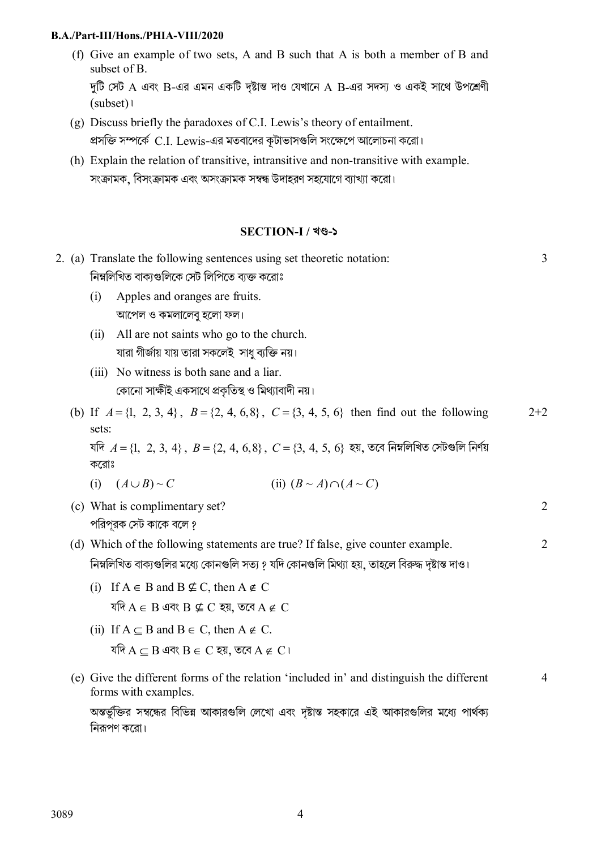(f) Give an example of two sets, A and B such that A is both a member of B and subset of B.

দুটি সেট A এবং B-এর এমন একটি দৃষ্টান্ত দাও যেখানে A B-এর সদস্য ও একই সাথে উপশ্রেণী  $(subset)$ 

- (g) Discuss briefly the paradoxes of C.I. Lewis's theory of entailment. প্রসক্তি সম্পর্কে C.I. Lewis-এর মতবাদের কূটাভাসগুলি সংক্ষেপে আলোচনা করো।
- (h) Explain the relation of transitive, intransitive and non-transitive with example. সংক্রামক, বিসংক্রামক এবং অসংক্রামক সম্বন্ধ উদাহরণ সহযোগে ব্যাখ্যা করো।

## **SECTION-I** / খণ্ড-১

|  | 2. (a) Translate the following sentences using set theoretic notation:<br>নিম্নলিখিত বাক্যগুলিকে সেট লিপিতে ব্যক্ত করোঃ | $\overline{3}$ |
|--|-------------------------------------------------------------------------------------------------------------------------|----------------|
|  | Apples and oranges are fruits.<br>(i)                                                                                   |                |
|  | আপেল ও কমলালেবু হলো ফল।                                                                                                 |                |
|  | All are not saints who go to the church.<br>(ii)                                                                        |                |
|  | যারা গীর্জায় যায় তারা সকলেই  সাধু ব্যক্তি নয়।                                                                        |                |
|  | No witness is both sane and a liar.<br>(iii)<br>কোনো সাক্ষীই একসাথে প্রকৃতিস্থ ও মিথ্যাবাদী নয়।                        |                |
|  | (b) If $A = \{1, 2, 3, 4\}$ , $B = \{2, 4, 6, 8\}$ , $C = \{3, 4, 5, 6\}$ then find out the following<br>sets:          | $2+2$          |
|  | যদি $A = \{1, 2, 3, 4\}$ , $B = \{2, 4, 6, 8\}$ , $C = \{3, 4, 5, 6\}$ হয়, তবে নিম্নলিখিত সেটগুলি নির্ণয়<br>করোঃ      |                |
|  | (ii) $(B \sim A) \cap (A \sim C)$<br>(i) $(A \cup B) \sim C$                                                            |                |
|  | (c) What is complimentary set?<br>পরিপুরক সেট কাকে বলে ?                                                                | 2              |
|  | (d) Which of the following statements are true? If false, give counter example.                                         | $\overline{2}$ |
|  | নিম্নলিখিত বাক্যগুলির মধ্যে কোনগুলি সত্য ? যদি কোনগুলি মিথ্যা হয়, তাহলে বিরুদ্ধ দৃষ্টান্ত দাও।                         |                |
|  | (i) If $A \in B$ and $B \nsubseteq C$ , then $A \notin C$                                                               |                |
|  | যদি $A \in B$ এবং $B \nsubseteq C$ হয়, তবে $A \notin C$                                                                |                |
|  | (ii) If $A \subseteq B$ and $B \in C$ , then $A \notin C$ .                                                             |                |
|  | যদি A $\subseteq$ B এবং B $\in$ C হয়, তবে A $\notin$ C ।                                                               |                |
|  | (e) Give the different forms of the relation 'included in' and distinguish the different<br>forms with examples.        | 4              |
|  | অন্তর্ভুক্তির সম্বন্ধের বিভিন্ন আকারগুলি লেখো এবং দৃষ্টান্ত সহকারে এই আকারগুলির মধ্যে পার্থক্য<br>নিরূপণ করো।           |                |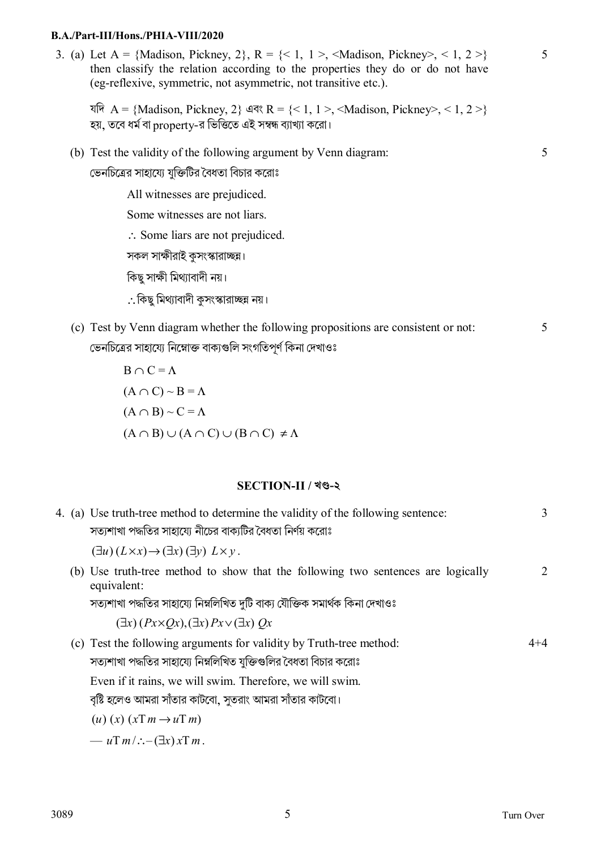3. (a) Let  $A = \{Madison, Pickney, 2\}$ ,  $R = \{< 1, 1 > 1, < Madison, Pickney > 1, 2 > 3\}$ then classify the relation according to the properties they do or do not have (eg-reflexive, symmetric, not asymmetric, not transitive etc.).

যদি  $A = {Madison, Pickney, 2}$  এবং  $R = {<1, 1>, 1, 1, 1}$  / Madison, Pickney>, < 1, 2 >} হয়, তবে ধর্ম বা property-র ভিত্তিতে এই সম্বন্ধ ব্যাখ্যা করো।

(b) Test the validity of the following argument by Venn diagram:

ভেনচিত্রের সাহায্যে যুক্তিটির বৈধতা বিচার করোঃ

All witnesses are prejudiced.

Some witnesses are not liars.

∴ Some liars are not prejudiced.

সকল সাক্ষীরাই কসংস্কারাচ্ছন।

কিছু সাক্ষী মিথ্যাবাদী নয়।

∴কিছ মিথ্যাবাদী কসংস্কারাচ্ছন্ন নয়।

(c) Test by Venn diagram whether the following propositions are consistent or not: ভেনচিত্রের সাহায্যে নিম্নোক্ত বাক্যগুলি সংগতিপূর্ণ কিনা দেখাওঃ

$$
B \cap C = \Lambda
$$
  
( $A \cap C$ ) ~  $B = \Lambda$   
( $A \cap B$ ) ~  $C = \Lambda$   
( $A \cap B$ )  $\cup$  ( $A \cap C$ )  $\cup$  ( $B \cap C$ )  $\neq \Lambda$ 

#### **SECTION-II / খč-২**

|  | 4. (a) Use truth-tree method to determine the validity of the following sentence:               | 3       |
|--|-------------------------------------------------------------------------------------------------|---------|
|  | সত্যশাখা পদ্ধতির সাহায্যে নীচের বাক্যটির বৈধতা নির্ণয় করোঃ                                     |         |
|  | $(\exists u)(L \times x) \rightarrow (\exists x)(\exists y) L \times y$ .                       |         |
|  | (b) Use truth-tree method to show that the following two sentences are logically<br>equivalent: | 2       |
|  | সত্যশাখা পদ্ধতির সাহায্যে নিম্নলিখিত দুটি বাক্য যৌক্তিক সমার্থক কিনা দেখাওঃ                     |         |
|  | $(\exists x)(Px \times Qx), (\exists x)Px \vee (\exists x)Qx$                                   |         |
|  | (c) Test the following arguments for validity by Truth-tree method:                             | $4 + 4$ |
|  | সত্যশাখা পদ্ধতির সাহায্যে নিম্নলিখিত যুক্তিগুলির বৈধতা বিচার করোঃ                               |         |
|  | Even if it rains, we will swim. Therefore, we will swim.                                        |         |
|  | 'বৃষ্টি হলেও আমরা সাঁতার কাটবো, সুতরাং আমরা সাঁতার কাটবো।                                       |         |
|  | $(u)(x)(xTm \rightarrow uTm)$                                                                   |         |
|  | — $uT m / \div (-(\exists x) x T m)$ .                                                          |         |
|  |                                                                                                 |         |

5

5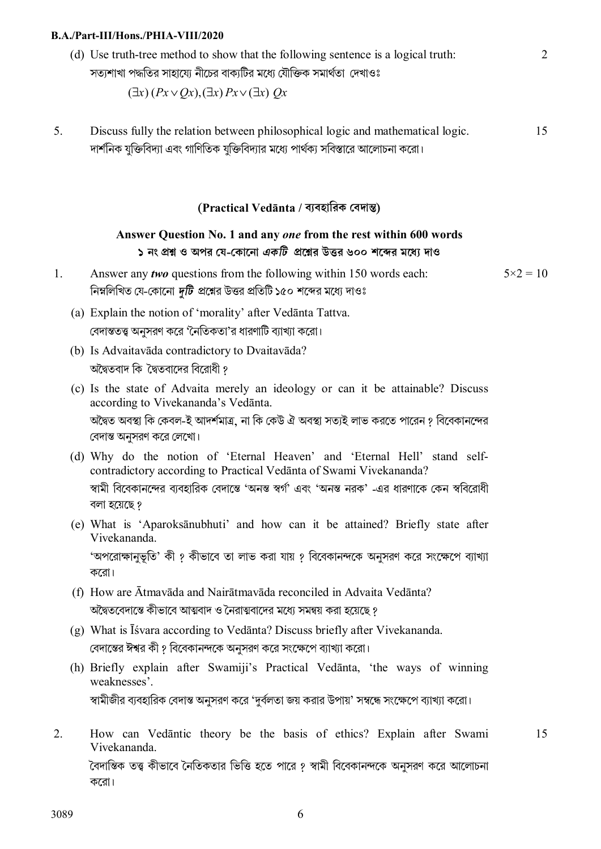(d) Use truth-tree method to show that the following sentence is a logical truth: সত্যশাখা পদ্ধতির সাহায়ে নীচের বাকাটির মধ্যে যৌক্তিক সমার্থতা দেখাওঃ

 $\mathcal{L}$ 

15

$$
(\exists x)(Px \vee Qx), (\exists x)Px \vee (\exists x)Qx
$$

5. Discuss fully the relation between philosophical logic and mathematical logic. দার্শনিক যুক্তিবিদ্যা এবং গাণিতিক যুক্তিবিদ্যার মধ্যে পার্থক্য সবিস্তারে আলোচনা করো। 15

### **(Practical Vedānta / বয্বহািরক েবদাn)**

## **Answer Question No. 1 and any** *one* **from the rest within 600 words ১ নং pű ও অপর েয-েকােনা** *একিট* **pেűর উtর ৬০০ শেbর মেধয্ দাও**

- 1. Answer any *two* questions from the following within 150 words each: নিম্নলিখিত যে-কোনো *দুটি প্র*শ্নের উত্তর প্রতিটি ১৫০ শব্দের মধ্যে দাওঃ  $5 \times 2 = 10$ 
	- (a) Explain the notion of 'morality' after Vedānta Tattva. বেদান্ততত্ত্ব অনসরণ করে 'নৈতিকতা'র ধারণাটি ব্যাখ্যা করো।
	- (b) Is Advaitavāda contradictory to Dvaitavāda? অদ্বৈতবাদ কি দ্বৈতবাদের বিরোধী ?
	- (c) Is the state of Advaita merely an ideology or can it be attainable? Discuss according to Vivekananda's Vedānta. অদ্বৈত অবস্থা কি কেবল-ই আদর্শমাত্র, না কি কেউ ঐ অবস্থা সত্যই লাভ করতে পারেন ? বিবেকানন্দের বেদান্ত অনুসরণ করে লেখাে।
	- (d) Why do the notion of 'Eternal Heaven' and 'Eternal Hell' stand selfcontradictory according to Practical Vedānta of Swami Vivekananda? স্বামী বিবেকানন্দের ব্যবহারিক বেদান্তে 'অনন্ত স্বর্গ' এবং 'অনন্ত নরক' -এর ধারণাকে কেন স্ববিরোধী বলা হেয়েছ ?
	- (e) What is 'Aparoksānubhuti' and how can it be attained? Briefly state after Vivekananda. 'অপরোক্ষানুভূতি' কী ? কীভাবে তা লাভ করা যায় ? বিবেকানন্দকে অনুসরণ করে সংক্ষেপে ব্যাখ্যা কেরা।
	- (f) How are Ātmavāda and Nairātmavāda reconciled in Advaita Vedānta? অদ্বৈতবেদান্তে কীভাবে আত্মবাদ ও নৈরাত্মবাদের মধ্যে সমন্বয় করা হয়েছে ?
	- (g) What is Īśvara according to Vedānta? Discuss briefly after Vivekananda. বেদাস্তের ঈশ্বর কী ? বিবেকানন্দকে অনুসরণ করে সংক্ষেপে ব্যাখ্যা করো।
	- (h) Briefly explain after Swamiji's Practical Vedānta, 'the ways of winning weaknesses'. স্বামীজীর ব্যবহারিক বেদান্ত অনুসরণ করে 'দুর্বলতা জয় করার উপায়' সম্বন্ধে সংক্ষেপে ব্যাখ্যা করো।
- 2. How can Vedāntic theory be the basis of ethics? Explain after Swami Vivekananda. বৈদান্তিক তত্ত্ব কীভাবে নৈতিকতার ভিত্তি হতে পারে ? স্বামী বিবেকানন্দকে অনুসরণ করে আলোচনা কেরা।

3089 6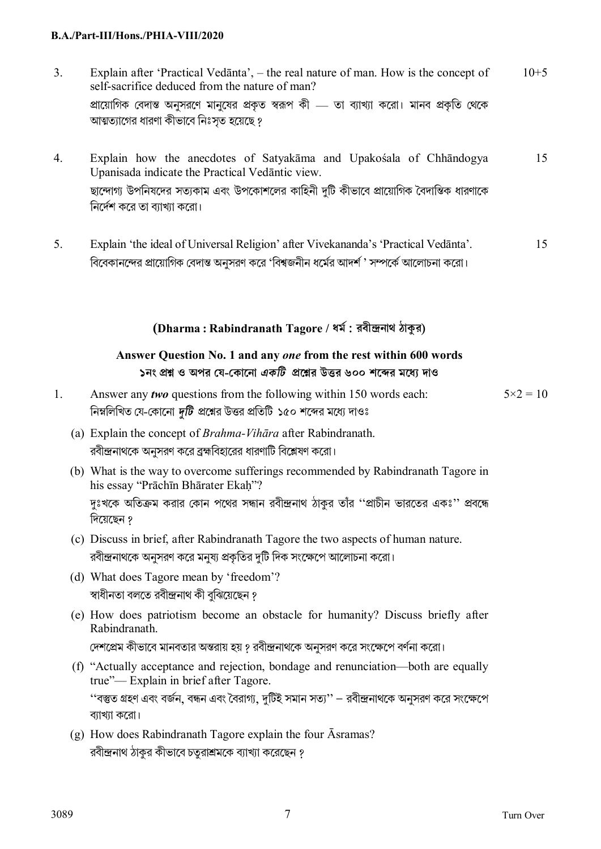- 3. Explain after 'Practical Vedānta', the real nature of man. How is the concept of self-sacrifice deduced from the nature of man? প্রায়োগিক বেদান্ত অনুসরণে মানুষের প্রকৃত স্বরূপ কী — তা ব্যাখ্যা করো। মানব প্রকৃতি থেকে আত্মত্যাগের ধারণা কীভাবে নিঃসৃত হয়েছে ?  $10+5$
- 4. Explain how the anecdotes of Satyakāma and Upakośala of Chhāndogya Upanisada indicate the Practical Vedāntic view. ছান্দোগ্য উপনিষদের সত্যকাম এবং উপকোশলের কাহিনী দুটি কীভাবে প্রায়োগিক বৈদাস্তিক ধারণাকে িনেদর্শ কের তা বয্াখয্া কেরা। 15
- 5. Explain 'the ideal of Universal Religion' after Vivekananda's 'Practical Vedānta'. বিবেকানন্দের প্রায়োগিক বেদান্ত অনসরণ করে 'বিশ্বজনীন ধর্মের আদর্শ ' সম্পর্কে আলোচনা করো। 15

# **(Dharma : Rabindranath Tagore / ধমর্ : রবীndনাথ ঠাkর)**

# **Answer Question No. 1 and any** *one* **from the rest within 600 words ১নং pű ও অপর েয-েকােনা** *একিট* **pেűর উtর ৬০০ শেbর মেধয্ দাও**

- 1. Answer any *two* questions from the following within 150 words each: নিম্নলিখিত যে-কোনো *দুটি প্র*শ্নের উত্তর প্রতিটি ১৫০ শব্দের মধ্যে দাওঃ  $5 \times 2 = 10$ 
	- (a) Explain the concept of *Brahma-Vihāra* after Rabindranath. রবীন্দ্রনাথকে অনুসরণ করে ব্রহ্মবিহারের ধারণাটি বিশ্লেষণ করো।
	- (b) What is the way to overcome sufferings recommended by Rabindranath Tagore in his essay "Prāchīn Bhārater Ekah"? দঃখকে অতিক্রম করার কোন পথের সন্ধান রবীন্দ্রনাথ ঠাকুর তাঁর ''প্রাচীন ভারতের একঃ'' প্রবন্ধে িদেয়েছন ?
	- (c) Discuss in brief, after Rabindranath Tagore the two aspects of human nature. রবীন্দ্রনাথকে অনুসরণ করে মনুষা প্রকৃতির দটি দিক সংক্ষেপে আলোচনা করো।
	- (d) What does Tagore mean by 'freedom'? স্বাধীনতা বলতে রবীন্দ্রনাথ কী বঝিয়েছেন ?
	- (e) How does patriotism become an obstacle for humanity? Discuss briefly after Rabindranath.

দেশপ্রেম কীভাবে মানবতার অন্তরায় হয় ? রবীন্দ্রনাথকে অনুসরণ করে সংক্ষেপে বর্ণনা করো।

- (f) "Actually acceptance and rejection, bondage and renunciation—both are equally true"— Explain in brief after Tagore. ''বস্তুত গ্রহণ এবং বর্জন, বন্ধন এবং বৈরাগ্য, দুটিই সমান সত্য'' — রবীন্দ্রনাথকে অনুসরণ করে সংক্ষেপে ব্যাখ্যা করো।
- (g) How does Rabindranath Tagore explain the four Āsramas? রবীন্দ্রনাথ ঠাকুর কীভাবে চতুরাশ্রমকে ব্যাখ্যা করেছেন ?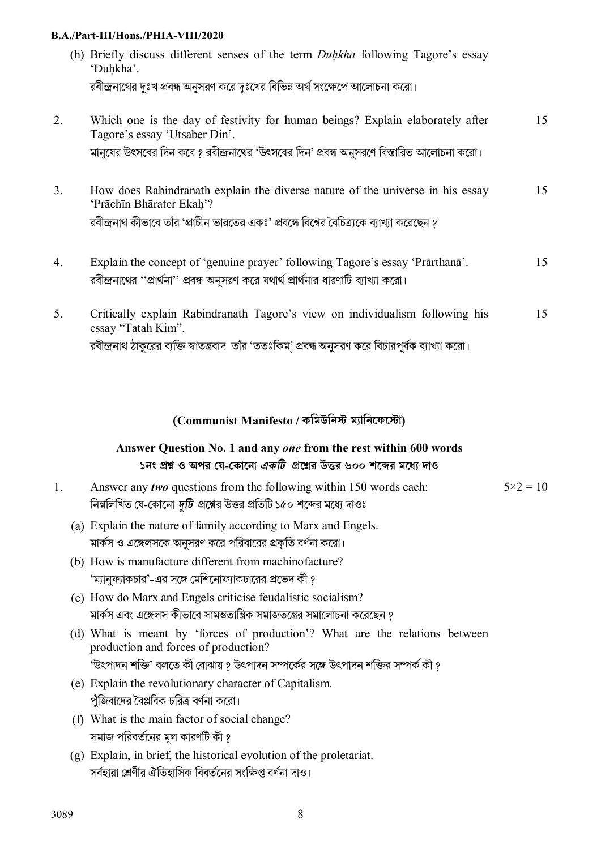|    | (h) Briefly discuss different senses of the term <i>Duhkha</i> following Tagore's essay<br>'Duhkha'.           |    |
|----|----------------------------------------------------------------------------------------------------------------|----|
|    | রবীন্দ্রনাথের দুঃখ প্রবন্ধ অনুসরণ করে দুঃখের বিভিন্ন অর্থ সংক্ষেপে আলোচনা করো।                                 |    |
| 2. | Which one is the day of festivity for human beings? Explain elaborately after<br>Tagore's essay 'Utsaber Din'. | 15 |
|    | মানুষের উৎসবের দিন কবে ? রবীন্দ্রনাথের 'উৎসবের দিন' প্রবন্ধ অনুসরণে বিস্তারিত আলোচনা করো।                      |    |
| 3. | How does Rabindranath explain the diverse nature of the universe in his essay<br>'Prāchīn Bhārater Ekah'?      | 15 |
|    | রবীন্দ্রনাথ কীভাবে তাঁর 'প্রাচীন ভারতের একঃ' প্রবন্ধে বিশ্বের বৈচিত্র্যকে ব্যাখ্যা করেছেন ?                    |    |
|    |                                                                                                                |    |

- 4. Explain the concept of 'genuine prayer' following Tagore's essay 'Prārthanā'. রবীন্দ্রনাথের ''প্রার্থনা'' প্রবন্ধ অনুসরণ করে যথার্থ প্রার্থনার ধারণাটি ব্যাখ্যা করো। 15
- 5. Critically explain Rabindranath Tagore's view on individualism following his essay "Tatah Kim". রবীন্দ্রনাথ ঠাকুরের ব্যক্তি স্বাতন্ত্রবাদ তাঁর 'ততঃকিম্' প্রবন্ধ অনুসরণ করে বিচারপূর্বক ব্যাখ্যা করো। 15

## **(Communist Manifesto / কিমউিনs ময্ািনেফেsা)**

# **Answer Question No. 1 and any** *one* **from the rest within 600 words ১নং pű ও অপর েয-েকােনা** *একিট* **pেűর উtর ৬০০ শেbর মেধয্ দাও**

- 1. Answer any *two* questions from the following within 150 words each: নিম্নলিখিত যে-কোনো *দটি প্র*শ্নের উত্তর প্রতিটি ১৫০ শব্দের মধ্যে দাওঃ  $5 \times 2 = 10$ 
	- (a) Explain the nature of family according to Marx and Engels. মার্কস ও এঙ্গেলসকে অনুসরণ করে পরিবারের প্রকৃতি বর্ণনা করো।
	- (b) How is manufacture different from machinofacture? 'ম্যানুফ্যাকচার'-এর সঙ্গে মেশিনোফ্যাকচারের প্রভেদ কী ?
	- (c) How do Marx and Engels criticise feudalistic socialism? মার্কস এবং এঙ্গেলস কীভাবে সামন্ততান্ত্রিক সমাজতন্ত্রের সমালােচনা করেছেন ?
	- (d) What is meant by 'forces of production'? What are the relations between production and forces of production? 'উৎপাদন শক্তি' বলতে কী বোঝায় ? উৎপাদন সম্পর্কের সঙ্গে উৎপাদন শক্তির সম্পর্ক কী ?
	- (e) Explain the revolutionary character of Capitalism. পঁজিবাদের বৈপ্লবিক চরিত্র বর্ণনা করো।
	- (f) What is the main factor of social change? সমাজ পিরবতর্েনর মূল কারণিট কী ?
	- (g) Explain, in brief, the historical evolution of the proletariat. সর্বহারা শ্রেণীর ঐতিহাসিক বিবর্তনের সংক্ষিপ্ত বর্ণনা দাও।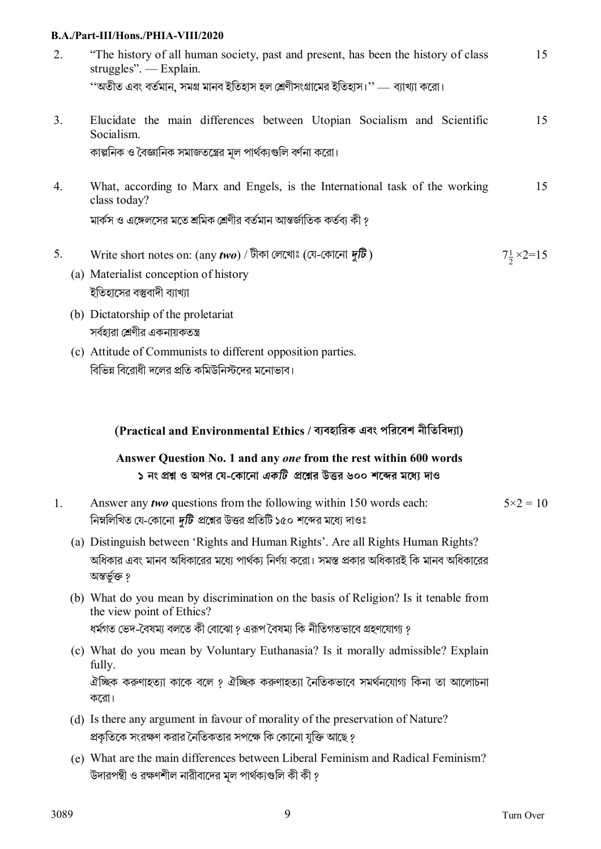- 2. "The history of all human society, past and present, has been the history of class struggles". — Explain. ''অতীত এবংবতর্মান, সমg মানব ইিতহাস হল েËণীসংgােমর ইিতহাস।'' — বয্াখয্া কেরা। 15
- 3. Elucidate the main differences between Utopian Socialism and Scientific Socialism. কাল্পনিক ও বৈজ্ঞানিক সমাজতন্ত্রের মল পার্থক্যগুলি বর্ণনা করো। 15
- 4. What, according to Marx and Engels, is the International task of the working class today? মার্কস ও এঙ্গেলসের মতে শ্রমিক শ্রেণীর বর্তমান আন্তর্জাতিক কর্তব্য কী ? 15
- 5. Write short notes on: (any *two*) / টীকা েলেখাঃ(েয-েকােনা *dিট* ) <sup>2</sup>  $7\frac{1}{2} \times 2 = 15$ 
	- (a) Materialist conception of history ইতিহাসের বস্তুবাদী ব্যাখ্যা
	- (b) Dictatorship of the proletariat সর্বহারা শ্রেণীর একনায়কতন্ত্র
	- (c) Attitude of Communists to different opposition parties. বিভিন্ন বিরোধী দলের প্রতি কমিউনিস্টদের মনোভাব।

**(Practical and Environmental Ethics / বয্বহািরক এবং পিরেবশ নীিতিবদয্া)**

# **Answer Question No. 1 and any** *one* **from the rest within 600 words ১ নং pű ও অপর েয-েকােনা** *একিট* **pেűর উtর ৬০০ শেbর মেধয্ দাও**

- 1. Answer any *two* questions from the following within 150 words each: নিম্নলিখিত যে-কোনো *দুটি প্র*শ্নের উত্তর প্রতিটি ১৫০ শব্দের মধ্যে দাওঃ  $5 \times 2 = 10$ 
	- (a) Distinguish between 'Rights and Human Rights'. Are all Rights Human Rights? অধিকার এবং মানব অধিকারের মধ্যে পার্থক্য নির্ণয় করো। সমস্ত প্রকার অধিকারই কি মানব অধিকারের অন্তৰ্ভূক্ত ?
	- (b) What do you mean by discrimination on the basis of Religion? Is it tenable from the view point of Ethics? ধর্মগত ভেদ-বৈষমা বলতে কী বােঝাে ? এরূপ বৈষম্য কি নীতিগতভাবে গ্রহণযােগ্য ?
	- (c) What do you mean by Voluntary Euthanasia? Is it morally admissible? Explain fully. ঐচ্ছিক করুণাহত্যা কাকে বলে ? ঐচ্ছিক করুণাহত্যা নৈতিকভাবে সমর্থনযোগ্য কিনা তা আলোচনা কেরা।
	- (d) Is there any argument in favour of morality of the preservation of Nature? প্রকৃতিকে সংরক্ষণ করার নৈতিকতার সপক্ষে কি কোনো যুক্তি আছে ?
	- (e) What are the main differences between Liberal Feminism and Radical Feminism? উদারপন্থী ও রক্ষণশীল নারীবাদের মূল পার্থক্যগুলি কী কী ?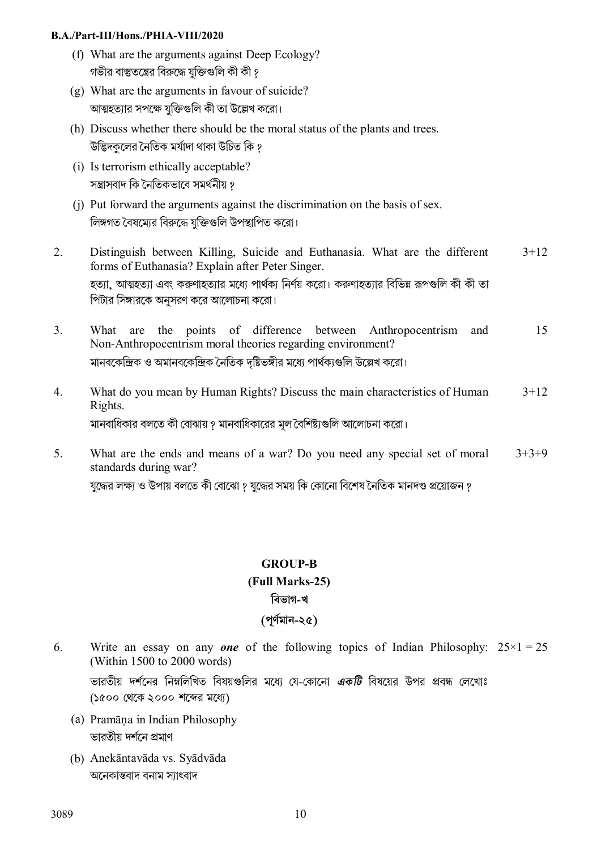- (f) What are the arguments against Deep Ecology? গভীর বাস্তুতম্ভের বিরুদ্ধে যক্তিগুলি কী কী ?
- (g) What are the arguments in favour of suicide? আত্মহত্যার সপক্ষে যক্তিগুলি কী তা উল্লেখ করো।
- (h) Discuss whether there should be the moral status of the plants and trees. উদ্ভিদকলের নৈতিক মর্যাদা থাকা উচিত কি ?
- (i) Is terrorism ethically acceptable? সন্ত্রাসবাদ কি নৈতিকভাবে সমর্থনীয় ?
- (j) Put forward the arguments against the discrimination on the basis of sex. লিঙ্গগত বৈষম্যের বিরুদ্ধে যুক্তিগুলি উপস্থাপিত করো।
- 2. Distinguish between Killing, Suicide and Euthanasia. What are the different forms of Euthanasia? Explain after Peter Singer. হত্যা, আত্মহত্যা এবং করুণাহত্যার মধ্যে পার্থক্য নির্ণয় করো। করুণাহত্যার বিভিন্ন রূপগুলি কী কী তা পিটার সিঙ্গারকে অনুসরণ করে আলোচনা করো।  $3+12$
- 3. What are the points of difference between Anthropocentrism and Non-Anthropocentrism moral theories regarding environment? মানবকেন্দ্রিক ও অমানবকেন্দ্রিক নৈতিক দষ্টিভঙ্গীর মধ্যে পার্থকাগুলি উল্লেখ করো। 15
- 4. What do you mean by Human Rights? Discuss the main characteristics of Human Rights. মানবাধিকার বলতে কী বোঝায় ? মানবাধিকারের মূল বৈশিষ্ট্যগুলি আলোচনা করো।  $3+12$
- 5. What are the ends and means of a war? Do you need any special set of moral standards during war?  $3+3+9$

যুদ্ধের লক্ষ্য ও উপায় বলতে কী বােঝাে ? যুদ্ধের সময় কি কোনাে বিশেষ নৈতিক মানদণ্ড প্রয়ােজন ?

# **GROUP-B**

# **(Full Marks-25)**

# **িবভাগ-খ**

# **(পূণর্মান-২৫)**

6. Write an essay on any *one* of the following topics of Indian Philosophy:  $25 \times 1 = 25$ (Within 1500 to 2000 words)

ভারতীয় দর্শনের নিম্নলিখিত বিষয়গুলির মধ্যে যে-কোনো *একটি* বিষয়ের উপর প্রবন্ধ লেখোঃ (১৫০০ থেকে ২০০০ শব্দের মধ্যে)

- (a) Pramāṇa in Indian Philosophy ভারতীয় দর্শনে প্রমাণ
- (b) Anekāntavāda vs. Syādvāda অনেকান্তবাদ বনাম স্যাৎবাদ